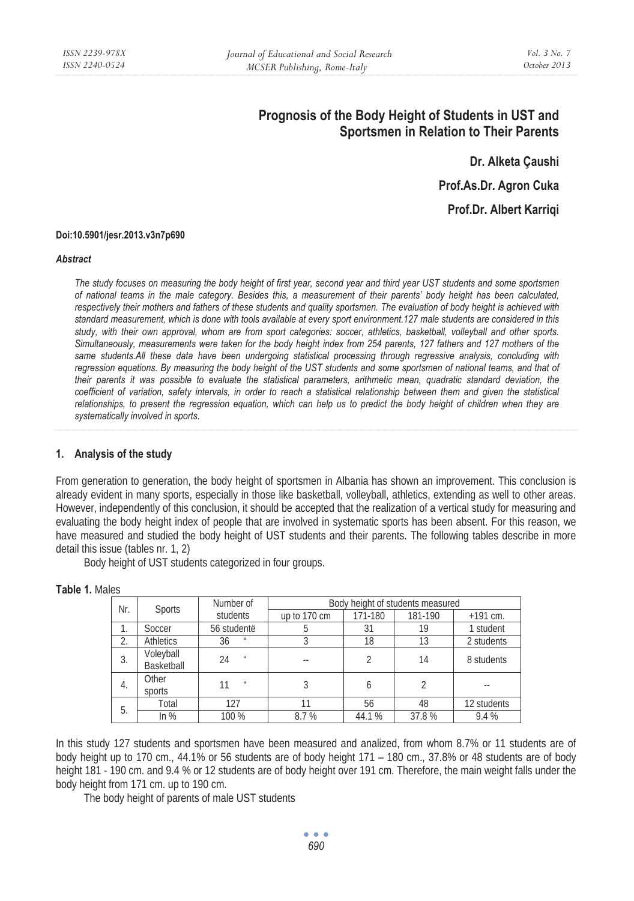# **Prognosis of the Body Height of Students in UST and Sportsmen in Relation to Their Parents**

**Dr. Alketa Çaushi Prof.As.Dr. Agron Cuka Prof.Dr. Albert Karriqi** 

#### **Doi:10.5901/jesr.2013.v3n7p690**

#### *Abstract*

*The study focuses on measuring the body height of first year, second year and third year UST students and some sportsmen of national teams in the male category. Besides this, a measurement of their parents' body height has been calculated, respectively their mothers and fathers of these students and quality sportsmen. The evaluation of body height is achieved with standard measurement, which is done with tools available at every sport environment.127 male students are considered in this study, with their own approval, whom are from sport categories: soccer, athletics, basketball, volleyball and other sports. Simultaneously, measurements were taken for the body height index from 254 parents, 127 fathers and 127 mothers of the same students.All these data have been undergoing statistical processing through regressive analysis, concluding with regression equations. By measuring the body height of the UST students and some sportsmen of national teams, and that of their parents it was possible to evaluate the statistical parameters, arithmetic mean, quadratic standard deviation, the coefficient of variation, safety intervals, in order to reach a statistical relationship between them and given the statistical relationships, to present the regression equation, which can help us to predict the body height of children when they are systematically involved in sports.* 

### **1. Analysis of the study**

From generation to generation, the body height of sportsmen in Albania has shown an improvement. This conclusion is already evident in many sports, especially in those like basketball, volleyball, athletics, extending as well to other areas. However, independently of this conclusion, it should be accepted that the realization of a vertical study for measuring and evaluating the body height index of people that are involved in systematic sports has been absent. For this reason, we have measured and studied the body height of UST students and their parents. The following tables describe in more detail this issue (tables nr. 1, 2)

Body height of UST students categorized in four groups.

| Nr. | <b>Sports</b>           | Number of                  | Body height of students measured |         |         |             |  |
|-----|-------------------------|----------------------------|----------------------------------|---------|---------|-------------|--|
|     |                         | students                   | up to 170 cm                     | 171-180 | 181-190 | $+191$ cm.  |  |
|     | Soccer                  | 56 studentë                |                                  | 31      | 19      | 1 student   |  |
| 2.  | Athletics               | 36<br>$_{II}$              |                                  | 18      | 13      | 2 students  |  |
| 3.  | Voleyball<br>Basketball | 24<br>$\mathbf{u}$         |                                  |         | 14      | 8 students  |  |
| -4. | Other<br>sports         | $\boldsymbol{\mathcal{U}}$ |                                  |         |         |             |  |
| 5.  | Total                   | 127                        | 11                               | 56      | 48      | 12 students |  |
|     | In $%$                  | 100 %                      | 8.7%                             | 44.1%   | 37.8%   | 9.4 %       |  |

#### **Table 1.** Males

In this study 127 students and sportsmen have been measured and analized, from whom 8.7% or 11 students are of body height up to 170 cm., 44.1% or 56 students are of body height 171 – 180 cm., 37.8% or 48 students are of body height 181 - 190 cm. and 9.4 % or 12 students are of body height over 191 cm. Therefore, the main weight falls under the body height from 171 cm. up to 190 cm.

The body height of parents of male UST students

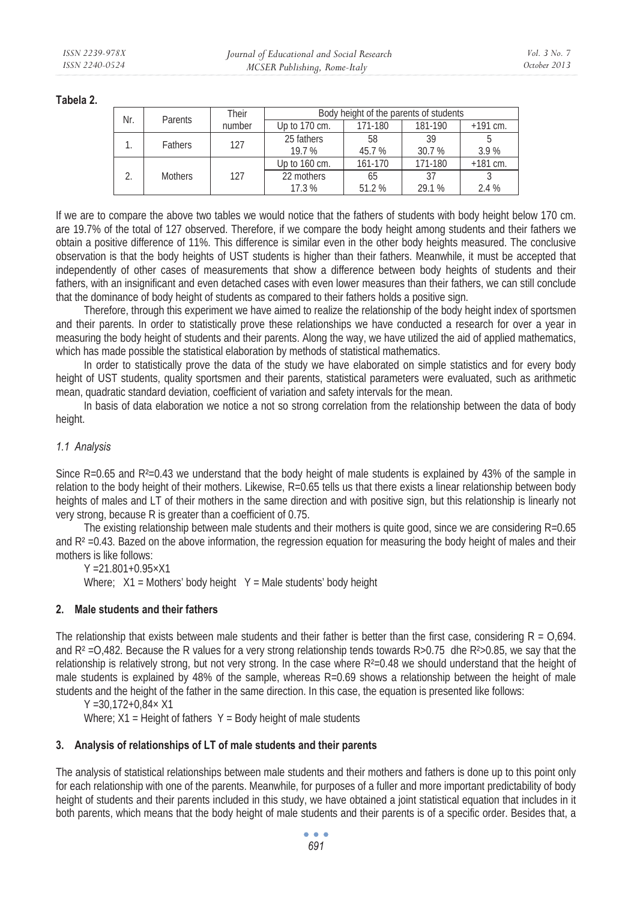**Tabela 2.** 

| Nr. | Parents        | Their  | Body height of the parents of students |             |              |            |  |
|-----|----------------|--------|----------------------------------------|-------------|--------------|------------|--|
|     |                | number | Up to 170 cm.                          | 171-180     | 181-190      | $+191$ cm. |  |
|     | Fathers        | 127    | 25 fathers<br>19.7%                    | 58<br>45.7% | 39<br>30.7 % | 3.9%       |  |
|     | <b>Mothers</b> | 127    | Up to 160 cm.                          | 161-170     | 171-180      | $+181$ cm. |  |
|     |                |        | 22 mothers<br>17.3%                    | 65<br>51.2% | 37<br>29.1 % | 2.4 %      |  |

If we are to compare the above two tables we would notice that the fathers of students with body height below 170 cm. are 19.7% of the total of 127 observed. Therefore, if we compare the body height among students and their fathers we obtain a positive difference of 11%. This difference is similar even in the other body heights measured. The conclusive observation is that the body heights of UST students is higher than their fathers. Meanwhile, it must be accepted that independently of other cases of measurements that show a difference between body heights of students and their fathers, with an insignificant and even detached cases with even lower measures than their fathers, we can still conclude that the dominance of body height of students as compared to their fathers holds a positive sign.

Therefore, through this experiment we have aimed to realize the relationship of the body height index of sportsmen and their parents. In order to statistically prove these relationships we have conducted a research for over a year in measuring the body height of students and their parents. Along the way, we have utilized the aid of applied mathematics, which has made possible the statistical elaboration by methods of statistical mathematics.

In order to statistically prove the data of the study we have elaborated on simple statistics and for every body height of UST students, quality sportsmen and their parents, statistical parameters were evaluated, such as arithmetic mean, quadratic standard deviation, coefficient of variation and safety intervals for the mean.

In basis of data elaboration we notice a not so strong correlation from the relationship between the data of body height.

# *1.1 Analysis*

Since R=0.65 and R<sup>2</sup>=0.43 we understand that the body height of male students is explained by 43% of the sample in relation to the body height of their mothers. Likewise, R=0.65 tells us that there exists a linear relationship between body heights of males and LT of their mothers in the same direction and with positive sign, but this relationship is linearly not very strong, because R is greater than a coefficient of 0.75.

The existing relationship between male students and their mothers is quite good, since we are considering R=0.65 and  $R<sup>2</sup> = 0.43$ . Bazed on the above information, the regression equation for measuring the body height of males and their mothers is like follows:

Y =21.801+0.95×X1

Where;  $X1$  = Mothers' body height  $Y$  = Male students' body height

# **2. Male students and their fathers**

The relationship that exists between male students and their father is better than the first case, considering  $R = 0.694$ . and  $R<sup>2</sup> = 0,482$ . Because the R values for a very strong relationship tends towards R>0.75 dhe R<sup>2</sup>>0.85, we say that the relationship is relatively strong, but not very strong. In the case where  $R<sup>2</sup>=0.48$  we should understand that the height of male students is explained by 48% of the sample, whereas R=0.69 shows a relationship between the height of male students and the height of the father in the same direction. In this case, the equation is presented like follows:

 $Y = 30.172 + 0.84 \times X1$ 

Where;  $X1$  = Height of fathers  $Y$  = Body height of male students

# **3. Analysis of relationships of LT of male students and their parents**

The analysis of statistical relationships between male students and their mothers and fathers is done up to this point only for each relationship with one of the parents. Meanwhile, for purposes of a fuller and more important predictability of body height of students and their parents included in this study, we have obtained a joint statistical equation that includes in it both parents, which means that the body height of male students and their parents is of a specific order. Besides that, a